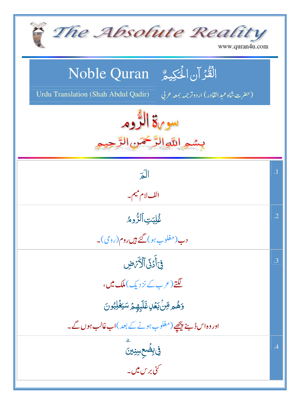| The Absolute Reality<br>$\sum_{i=1}^{n}$<br>www.quran4u.com                                                                            |            |
|----------------------------------------------------------------------------------------------------------------------------------------|------------|
| الْقُرْآنِ الْحَكِيمُ ِ Noble Quran<br><b>Urdu Translation (Shah Abdul Qadir)</b><br>(حقرت شاه عبد القادر) اردوتر <i>جمه بمعه ح</i> لي |            |
| سوية الرُّوم<br>بسمه اللهالرَّمْحَمْن                                                                                                  |            |
| $\sqrt{2}$                                                                                                                             | $\cdot$ 1  |
| الف لام ميم _                                                                                                                          |            |
| غُلِبَتِ ٱلثَّرُومُ                                                                                                                    | $\cdot$ .2 |
| دب(مغلوب ہو) گئے ہیں روم(روی)۔                                                                                                         |            |
| فِىَ أَدَىٰ ٱلْأَرَضِ                                                                                                                  | .3         |
| لگتے(عرب کے نزدیک)ملک میں،                                                                                                             |            |
| <u>وَهُم قِنْ بَعَلِ غَلَبِهِمَ سَيَغْلِبُونَ</u>                                                                                      |            |
| اور وہ اس ڈ ہنچھیے (مغلوب ہونے کے بعد )اب غالب ہوں گے۔                                                                                 |            |
| في بِضَعِسِنِينَ                                                                                                                       | .4         |
| گئی بر س میں۔<br>سنی بر س میں۔                                                                                                         |            |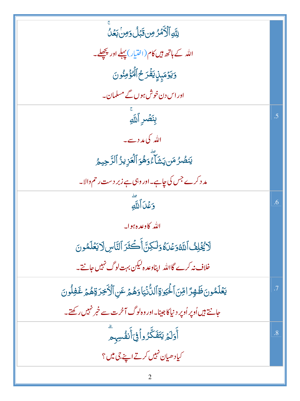| لِلَّهِ ٱلْأَمَرُ مِن قَبَلُ وَمِنْ بَعَلُ                                           |           |
|--------------------------------------------------------------------------------------|-----------|
| اللہ کے ہاتھ ہیں کام(اختیار) پہلے اور پ <u>چھ</u> لے۔                                |           |
| وَيَوۡمَبِنِۢ يَفۡرَحُ ٱلۡٓكِۚ مِنُونَ                                               |           |
| اور اس دن خوش ہوں گے مسلمان۔                                                         |           |
| بِنَصْرِ ٱللَّهِ                                                                     | .5        |
| اللہ کی مدد سے۔                                                                      |           |
| يَنصُرُ مَن يَشَآءُوَهُوَ ٱلۡعَزِيزُ ٱلرَّحِيمُ                                      |           |
| مد د کرے جس کی چاہے۔اور وہی ہے زبر دست رحم والا۔                                     |           |
| وَعَْدَ ٱللَّهِ                                                                      | .6        |
| الله كاوعده ہوا۔                                                                     |           |
| لَا يُخْلِفُ ٱللَّهُوَعُدَةُ وَلَكِنَّ أَكْثَرَ ٱلنَّاسِ لَا يَعۡلَمُونَ             |           |
| خلاف نہ کرے گااللہ اپناوعد ہ <sup>اکی</sup> کن بہت لوگ نہیں جانتے۔                   |           |
| يَعْلَمُونَ ظَهِرًا قِنَ ٱلْحَيَوٰةِ ٱلدُّنۡيَاوَهُمۡ عَنِ ٱلۡأَخِرَةِهُمۡ غَفِلُونَ | $\cdot$ 7 |
| جانتے ہیں اُوپر اُوپر دینیاکا جینا۔اور وہ لوگ آخرت سے خبر نہیں رکھتے۔                |           |
| أَوَلَ <sub>ّه</sub> ُ يَتَفَكَّرُواْفِيَ أَنفُسِهِم                                 | .8        |
| کیادھیان نہیں کرتے اپنے جی میں؟                                                      |           |
|                                                                                      |           |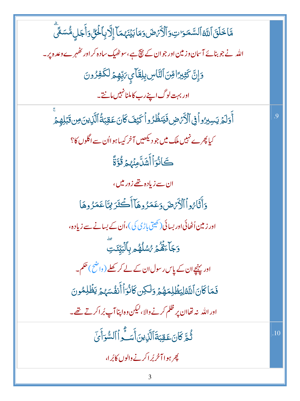مَّاخَلَقَ ٱللَّهُ ٱلسَّمَرَ تِ وَٱلۡكَٰٓئِ صَ وَمَا بَيۡنَهُمَآ إِلَّا بِٱلۡنَّىٰٓ وَأَجَلِ مُّسَمَّىٓ اللہ نے جو بنائے آسان وزمین اور جو ان کے پیچ ہے،سوٹھیک سادہ کر اور ٹھہرے وعدہ پر۔ وَإِنَّ كَثِيرًا مِّنَ ٱلنَّاسِ بِلِقَائِي مَدِّهِمَّ لَكَفِرُونَ اور بہت لوگ اپنے رب کاملنانہیں مانتے۔ أَوَلَمُ يَسِبِرُواْ فِى ٱلْأَرْضِ فَيَنظُرُواْ كَيْفَ كَانَ عَقِبَةُ ٱلَّذِينَ مِن قَبَلِهِمْ  $\overline{9}$ کیا پھرے نہیں ملک میں جو دیکھیں آخر کیپاہوااُن سے اگلوں کا؟ ِ<br>كَانُوَٱأۡشَلَّامِنۡهُمۡ قُوَّةً ان سے زیادہ <u>تھے</u> زور میں، وَأَثَارُواْ ٱلْأَيْرَضَ وَعَمَرُوهَآ أَكۡتُرَ لِمَّاعَمَرُوهَا اور زمین اُٹھائی اور بسائی (کھیتی پاڑی کی )،اُن کے بسانے سے زیادہ، **وَجَآءَهُمُّهُ ِ مُسْلَهُم بِٱلْبَيِّدَتِ**ّ اور پہنچے ان کے پاس رسول ان کے لے کر کھلے ( واضح ) حکم۔ فَمَاكَانَ ٱللَّهْلِيَظُلِمَهُمْ وَلَكِن كَانُوَأَأَنفُسَهُمْ يَظُلِمُونَ اور الله بنه تھاان پر ظلم کرنے والا،لیکن وہ اپنا آپ بُر اکرتے تھے۔ ثُمَّ كَانَ عَقِبَةَ ٱلَّذِينَ أَسَـَّٰوِ ٱ ٱلسُّوَأَيِّ  $.10$ پھر ہو**ا آ**خربُراکرنے والوں کابُرا،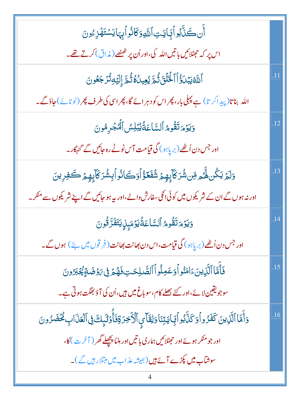| أَن كَنَّ بُواْيَايَتِ ٱللَّهِ وَكَانُواْيِهَا يَسۡتَهۡزِۦۢونَ                                                    |                  |
|-------------------------------------------------------------------------------------------------------------------|------------------|
| اس پر کہ حجٹلائیں باتیں اللہ کی،اور اُن پر تھٹھے (مذاق) کرتے تھے۔                                                 |                  |
| ٱللَّهُ يَبۡدَٰٓؤُاۡٱلۡـٰۡٓئَٰٓاَتُ ثُمَّ يُعِيدُهُ ثُمَّ إِلَيۡهِ تُرۡجَعُونَ                                    | .11              |
| اللہ بناتا(پیداکر تا) ہے پہلی بار، پھراس کو دہرائے گا، پھراسی کی طرف پھر (لوٹائے)حاؤگے۔                           |                  |
| وَيَؤْمَ تَقُومُ ٱلسَّاعَةُ يُبْلِسُ ٱلْمُجْرِمُونَ                                                               | .12              |
| اور جس دن اُٹھے (بر پاہو) گی قیامت آس ٹوٹے رہ جائیں گے گنہگار۔                                                    |                  |
| <u>و</u> َلَمۡ يَكُن لَّهُمۡ مِّن شُرَكَآبِهِمۡ شُفَعَوُّ أَوَكَانُو أَبِشُرَكَآبِهِمۡ كَفِرِينَ                  | $\overline{.13}$ |
| اور نہ ہوں گے ان کے شریکوں میں کوئی انکی سفارش والے ،اور رہے ہو جائیں گے اپنے شریکوں سے منکر۔                     |                  |
| <u>وَيَوۡ</u> مَتَقُومُ ٱلسَّاعَةُٰيَوۡمَبِنِۢ يَتَفَرَّقُونَ                                                     | .14              |
| اور جس دن اُٹھے (بر پاہو) گی قیامت،اس دن بھانت بھانت (فِر قوں میں بِٹے ) ہوں گے۔                                  |                  |
| فَأَمَّا ٱلَّذِينَءَامَنُواۡوَعَمِلُواۡ ٱلصَّلِحَتِ فَهُمۡ فِى رَوۡضَةٍ يُجۡبَرُونَ                               |                  |
| سوجو یقین لائے،اور کئے بھلے کام،سو باغ میں ہیں،اُن کی آؤ بھگت ہوتی ہے۔                                            |                  |
| وَأَمَّا ٱلَّذِينَ كَفَزُواْوَكَذَّبُواْيَايَتِنَاوَلِقَاْمٍ ٱلْأَخِرَةِفَأُوَلَٰٓبِكَ فِى ٱلْعَذَابِ كُحُضَرُونَ | .16              |
| اور جو منکر ہوئے اور حہٹلائیں ہماری با تیں اور مِلنا پچھلے گھر ( آخر ت) کا،                                       |                  |
| سوشآب میں کپڑے آئے ہیں (ہمیشہ عذاب میں مبتلار ہیں گے)۔                                                            |                  |
|                                                                                                                   |                  |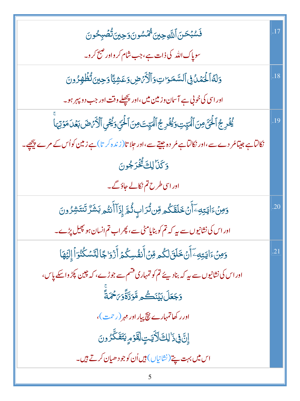| ڣؘۺ۠ڹػڹٲ <sub>ڶڵۜڮ</sub> ڿؾؾ۠ <sup>ؿ</sup> ٛۻٞۺۅڹؘۅؘڿؾۣ <i>ؾ</i> ڷ۠ڞٙڹؚڂۅڹ                                    | .17 |
|---------------------------------------------------------------------------------------------------------------|-----|
|                                                                                                               |     |
| وَلَهُ الْمُمَدُّفِي السَّمَرَاتِ وَٱلْأَمَّ ضِ وَعَشِيًّا وَحِينَ تُظُهِّرُونَ                               | .18 |
| اور اسی کی خونی ہے آسان وزمین میں،اور پ <u>چھ</u> لے وقت اور جب دو پہر ہو۔                                    |     |
| يُخْرِجُ ٱلْحَقّ مِنَ ٱلْمَيِّتِ وَيُخْرِجُ ٱلْمَيِّتَ مِنَ ٱلْحَقِّ وَيُحْيِ ٱلْأَرْضَ بَعْلَ مَوْتِهَا      | .19 |
| نکالٹاہے جیتامُر دے سے،اور نکالٹاہے مُر دہ جیتے سے،اور جِلا تا $((i, 0, 1) + i)$ ہے زینین کواُس کے مرے پیچھے۔ |     |
| وَكَنَالِكَ تُخْرَجُونَ                                                                                       |     |
| اور اسی طرح تم نکالے جاؤگے۔                                                                                   |     |
| <u>وَ</u> مِنۡءَايَتِهِۦٓأَنۡ خَلَقَكُم مِّن تُرَابِ ثُمَّ إِذَآأَنتُم بَشَرٌ تَنتَشِرُونَ                    | .20 |
| اور اس کی نشانیوں سے بیر کہ تم کو بنایامٹی سے، پھر اب تم انسان ہو پھیل پڑے۔                                   |     |
| وَمِنۡءَايَتِهِۦٓأَنۡ خَلَقَلَكُم مِّنۡ أَنفُسِكُمۡ أَزۡوَاجَالِتَّسَكُنُوَاۡ إِلَيۡهَا                       | .21 |
| اور اس کی نشانپوں سے پہ کہ بناد پئے تم کو تمہاری قشم سے جوڑے، کہ چین پکڑ واسکے پاس،                           |     |
| <b>وَجَعَلَ بَيۡنَكُمِ مَّوَدَّةَّوَىَ حُمَةً</b>                                                             |     |
| اور رکھاتمہارے نیچ پیار اور مہر (رحمت)،                                                                       |     |
| ٳؚڹؖٞ؋ۣۮؘٳڸڰٙڵؘٳؾؾٟڶؚڣؖۏٙڡۭؠؾؘڡؘػؖۯۅڹ                                                                         |     |
| اس میں بہت پتے (نشانیاں) <del>ہ</del> یں اُن کوجو دھیان کرتے ہیں۔                                             |     |
|                                                                                                               |     |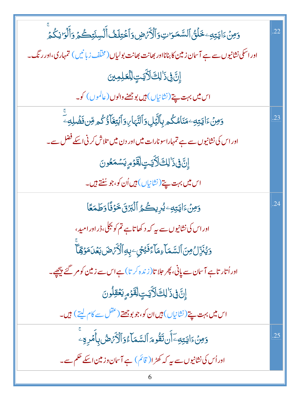| وَمِنۡءَايَتِهِۦ خَلۡقُ ٱلسَّمَوَاتِ وَٱلۡكُّرۡضِ وَٱخۡتِلَفُّ أَلۡسِنَتِكُمۡ وَأَلۡوَا نِكُمۡ                         | <sup>22</sup> |
|------------------------------------------------------------------------------------------------------------------------|---------------|
| اور اسکی نشانیوں سے ہے آسان زمین کا بنانااور بھانت بھانت بولیاں (مخلّف زبانیں) تمہاری،اور رنگ۔                         |               |
| إِنَّ فِيَ اللَّالَاَيَتِ لِلْعَلِمِينَ                                                                                |               |
| اس <mark>میں بہت پتے</mark> (نشانیاں) <del>ہی</del> ں بوجھنے والوں (عالموں) کو۔                                        |               |
| ۅ <i>ٙ</i> ۜڡۣڽۘ۫ٵؾؾؚ <sub>ڰؚ</sub> ۦڡؘڹؘٲۿڬ۠ڡڔؠؚٲڵؽؖ۫ڸؚۏٲڵڹ۠ؠۧٵ <sub>؆</sub> ۏٲڹۘٛؾؚۼؘٲۜۅ۫ٛ۠ػ۠ڡۄڡؚؚٚڽڣؘڞؙڸ <i>ڢ</i> ۨ | .23           |
| اور اس کی نشانیوں سے ہے تمہاراسونارات میں اور دن میں تلاش کرنی اسکے فضل سے۔                                            |               |
| ٳؚۣڷٙ؋ۣۮؘٳڸڰؘڵؘٳۜؾؾؚؚڵؚڦٙۯٙۄۭؽۺڡؘػۏڹ                                                                                   |               |
| اس <mark>میں بہت پتے (نشانیاں) ہیں اُن کو،جو سُنتے ہیں۔</mark>                                                         |               |
| وَمِنْءَايَتِهِۦيُرِيكُمُ ٱلۡبَرۡنَ خَوۡفًاوَطَمَعًا                                                                   | .24           |
| اور اس کی نشانیوں سے بیر کہ د کھا تاہے تم کو بجلی، ڈر اور امید ،                                                       |               |
| <u>وَيُ</u> نَزِّلُ مِنَ ٱلسَّمَاَءِمَاۤءَفَيْحِيٖٖبِهِٱلۡأَمۡضَ بَعۡلَ مَوۡقِمَآ                                      |               |
| اور اُتار تاہے آسان سے پانی، پھر جلا تا( زندہ کرتا) ہے اس سے زمین کو مر گئے پیچھے۔                                     |               |
| إِنَّ فِي ذَٰ لِكَ لَأَيَّتٍ لِقَوْمٍ يَعۡقِلُونَ                                                                      |               |
| اس میں بہت پتے (نشانیاں) ہیں ان کو،جو بوجھتے ( <sup>عقل</sup> سے کام لیتے ) ہیں۔                                       |               |
| <u>وَمِنۡ</u> ءَايَتِهِۦٓأَن تَقُومَ ٱلسَّمَآءُوَٱلۡكُرۡصُ بِأَمۡرِهِۦ                                                 | .25           |
| اور اُس کی نشانیوں سے بیر کہ کھڑ ا( قائم) ہے آسان وزمین اسکے حکم سے۔                                                   |               |
|                                                                                                                        |               |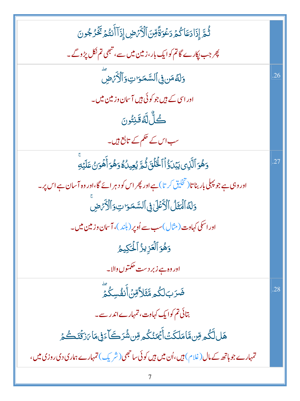| ثُمَّ إِذَادَعَا كُمُ دَعُوَةً قِنَ ٱلْأَمَٰضِ إِذَآ أَنتُمۡ تَخۡرُجُونَ                      |     |
|-----------------------------------------------------------------------------------------------|-----|
| پھر جب پکارے گاتم کوایک بار،زمین میں سے، تبھی تم نکل پڑ وگے۔                                  |     |
| وَلَّةُ مَن فِى ٱلسَّمَوَاتِ وَٱلْأَيَّ ضِ                                                    | .26 |
| اور اسی کے ہیں جو کوئی ہیں آسان وزمین میں۔                                                    |     |
| ڴڵٞڶ <i>ڐڰؘ</i> ڹۣؾؙۏڹ                                                                        |     |
| سب اس کے حکم کے تابع ہیں۔                                                                     |     |
| وَهُوَ ٱلَّذِى يَبۡدَوُۨۢاۡٱلۡـُٰٓاَئِنَ ثُمَّ يُعِيدُٰهُ وَهُوَ أَهۡوَنُ عَلَيۡتِ            | .27 |
| اور وہی ہے جو پہلی بار بنا تا (تخلیق کر تا) ہے اور پھر اس کو دہر ائے گا،اور وہ آسان ہے اس پر۔ |     |
| وَلَهُ ٱلۡمَثَلُ ٱلۡأَكۡلَىٰٰٓ فِى ٱلسَّمَوَاتِ وَٱلۡأَرۡمَضِ                                 |     |
| اور اسکی کہاوت ( مثال )سب سے اُوپر ( بلند )، آ سان وزمین میں۔                                 |     |
| وَهُوَ ٱلۡعَزِيزُ ٱلۡكِٰكِيمُ                                                                 |     |
| اور وہ ہے زبر دست حکمتوں والا۔                                                                |     |
| ڞؘڒڹڶػؙ <u>ۄ</u> ڡۨٞؿؘڵٲۊڹؙٲٛڹڡؙٛڛػؙڡؖٞ                                                       | .28 |
| بتائی تم کوایک کہاوت، تمہارے اندر سے۔                                                         |     |
| ۿٙڶڷػۢۄڡؚۜڹڡؓٵڡؘڶػؘؾؙٲ۠ؿؘڡؘڹ۠ػۢۄڡؚۜڹۺ۠ۘۯڪؘٲۦؘڣۣ؋ٵؠؘۯػۘؿؘڴؽ                                    |     |
| تمہارے جو ہاتھ کے مال (غلام) ہیں،اُن میں ہیں کوئی ساحجھی (شریک) تمہارے ہماری دی روزی میں،     |     |
|                                                                                               |     |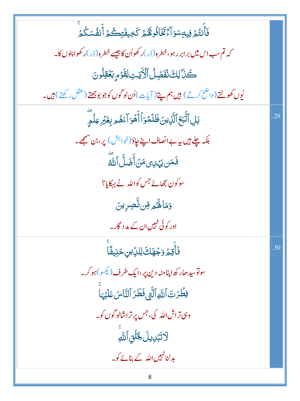| ڣؘٲۧٮ <i>ڐ۠ۿ</i> ۣۏؚۑۅؚۺۅؘٳۦٚ۠ؿؘۜڂ <b>ٲۏ۠ۿ</b> ۠ۿ <sub>ۄ</sub> ػڿؠڣؘؾؚٮڴۿؚ <sup>ۨ</sup> ۠ |     |
|-------------------------------------------------------------------------------------------|-----|
| کہ تم سب اس میں بر ابر رہو، خطرہ(ڈر)ر کھواُن کا جیسے خطرہ(ڈر)ر کھوا پنوں کا۔              |     |
|                                                                                           |     |
| كَنَا لِكَ نُفَصِّلُ ٱلْأَيَتِ لِقَوْمِ يَعْقِلُونَ                                       |     |
| يُوں کھولتے (واضح کرتے) ہيں ہم پتے (آیات)اُن لوگوں کوجو بوجھتے (عقل رکھتے) ہيں۔           |     |
| بَلِٱتَّبَعَٱلَّٰٓنِينَ ظَلَمُوَٱأَهُوَآءَهُمِ بِغَيۡرِ عِلۡمِّ                           | .29 |
| بلکہ چلے ہیں ہہ بے انصاف اپنے چاؤ(خواہش) پر، بن سمجھ۔                                     |     |
| فَمَن يَهْدِىءَ مَنۡ أَضَلَّ ٱللَّهُ                                                      |     |
| سو کون بڑھائے جس کواللہ نے بہکایا؟                                                        |     |
| وَمَالَهُمْ مِّن تَّصِرِينَ                                                               |     |
| اور کوئی نہیں ان کے مد د گار۔                                                             |     |
| ۏ <i>ٚ</i> ٲٝؾؚؽ <sub>ؘ</sub> ۯڋۿڶ <sup>ۣ</sup> ۞ڸڵڸۨؾڹڂڹۣڣٙۢٲ                            | .30 |
| سوتوسیدھار کھ اپنامنہ دین پر،ایک طرف( <sup>کی</sup> سو)ہوکر۔                              |     |
| فِطْرَتَ ٱللَّهِ ٱلَّتِي فَطَرَ ٱلنَّاسَ عَلَيْهَا                                        |     |
| وہی تراش اللہ کی، جس پر تراشالو گوں کو۔                                                   |     |
| لَاتَبْدِيلَ لِخَلَّقِ ٱللَّهِ                                                            |     |
| بدلنانہیں اللہ کے بنائے کو۔                                                               |     |
| 8                                                                                         |     |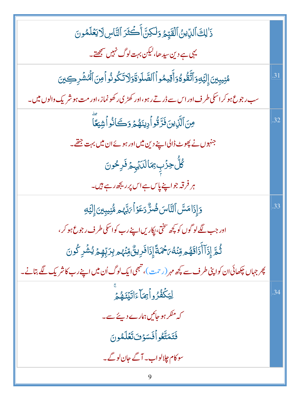| ذَٰ لِكَ ٱلدِّينُ ٱلۡقَيِّمُ وَلَٰكِنَّ أَكۡغَزَ ٱلنَّاسِ لَا يَعۡلَمُونَ                                    |     |
|--------------------------------------------------------------------------------------------------------------|-----|
| یہی ہے دین سیدھا،لیکن بہت لوگ نہیں سمجھتے۔                                                                   |     |
| مُنِيبِينَ إِلَيَّهِ وَٱتَّقُوهُ وَأَقِيمُواْ ٱلصَّلَوٰةَ وَلَاتَكُونُواْمِنَ ٱلْمُشَرِكِينَ                 | .31 |
| سب رجوع ہو کر اسکی طرف اور اس سے ڈرتے رہو،اور کھڑی رکھو نماز،اور مت ہو شریک والوں میں۔                       |     |
| مِنَ ٱلَّذِينَ فَزَّقُواً دِينَهُمَّ وَكَانُواْ شِيَعًا                                                      | .32 |
| جنہوں نے پھوٹ ڈالی اپنے دین میں اور ہوئے ان میں بہت جتھے۔                                                    |     |
| ڴڷ۫ڿۯٙ۫ٮؚؚ <i>ؿ</i> ٵڶڷؘؽٙ <sub>ؾۭ</sub> ڿڡؘ۬ڔڂۅڽ                                                            |     |
| ہر فرقہ جواپنے پاس ہے اس پر ریجھ رہے ہیں۔                                                                    |     |
| وَإِذَامَسَّ ٱلتَّاسَ ضُرٌّ دَعَوۡاۡ ٱرَبَّهُ ۖ مُّنۡنِيبِينَ إِلَيۡهِ                                       | .33 |
| اور جب لگےلو گوں کو کچھ سختی، پکاریں اپنے رب کواسکی طرف رجوع ہو کر ،                                         |     |
| ڐؙٛۿۜ <i>ؚٙ</i> ٳۣۮؘٳٚٲٛۮؘ <b>ٲق</b> ۿۄڡؚۨڹ۫ڡ۠ <i>ٛ؆ڂٛ</i> ٙۮڡۘٙٳؚۮؘٳڡ۬ڔؠؾ۠؋ڹؙۿۄڹؚڗڽؚؚۨۄؚۄ۬ؽ۠ۺ۫ڔػٛۅڽؘ        |     |
| پھر جہاں چکھائی ان کواپنی طرف سے پچھ مہ <sub>ر</sub> (رحمت)، تبھی ایک لوگ اُن میں اپنے رب کاشر یک لگے بتانے۔ |     |
| لِيَكۡفُرُواۡ مِمَآ ءَاتَيۡدَهُمۡ                                                                            | .34 |
| کہ منکر ہو جائیں ہمارے دیئے سے۔                                                                              |     |
| فَتَمَتَّعُو أَفَسَوُفَ تَعُلَّمُونَ                                                                         |     |
| سوکام چلالواب۔ آگے جان لوگے۔                                                                                 |     |
| 9                                                                                                            |     |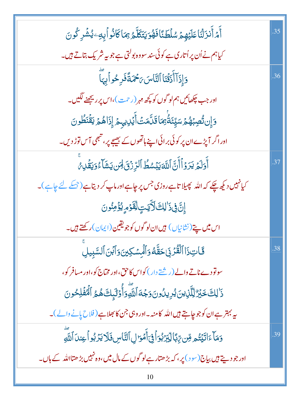| ٲٛ <i>؞ڋ</i> ٲۜٮ۬ڗؘڷ <i>ڎ</i> ؘڶڡؘڶؽٙۿؚؽٙ <i>ۺ</i> ڶڟٮ۠ٙٲڡؘۿؙۊؾؾؘػڷۜۧۜۿۥۣ۬ڝٓٲػٲڎ۠ۅٲۑؚڡؚۦؽ۠ۺ۫ڔػ۠ۅڽؘ | .35 |
|----------------------------------------------------------------------------------------------------|-----|
| کیاہم نے اُن پر اُتاری ہے کوئی سند سووہ بولتی ہے جو بیہ شریک بتاتے ہیں۔                            |     |
| وَإِذَآ أَذَقۡنَاۚ ٱلنَّاسَ ٥َحۡمَةً فَرِحُواۡ بِهَآ                                               | .36 |
| اور جب چڪھائيں ہم لو گوں کو پچھ مہر (رحمت)،اس پر ريجھنے لگيں۔                                      |     |
| <u>ۘ</u> ۯٳۣڹڗ۠ڞڹۿڂ۩ڛۣۜڹٞڟ۠ؗ <sub>ۘ</sub> ؚؿٵڡۘۧڷۜڡٙٮٞٲؖؽٙڸٳۑؠڂۦٳۣۮؘٳۿ۠ڂ۩ۣڡۨٞڹؘڟ۠ۅڹ                |     |
| اور اگر آپڑے ان پر کوئی بر ائی اپنے ہاتھوں کے بھیجے پر، شجھی آس توڑ دیں۔                           |     |
| أَوَلَمُ يَرَوۡأَأَنَّ ٱللَّٰٓ يَبۡسُطُ ٱلرِّزۡنَىٰ لِهَن يَشَآءُوَيَقُلِ مِّ                      | 37  |
| کیانہیں دیکھ چکے کہ اللہ پھیلا تاہےروزی جس پر چاہےاورماپ کر دیتاہے(جسکے لئے چاہے)۔                 |     |
| ٳؚۣڷؘ؋ۣۮؘٳڸڮٙڵٲؾؾٟڶؚڡؚٚٙۯٙۄٟؽۯؙڡؚڹؙۅڽ                                                              |     |
| اس میں پتے(نشانیاں) ہیں ان لو گوں کوجویقین(ایمان)رکھتے ہیں۔                                        |     |
| فَحَاتِ ذَا ٱلْقُرۡ بِىَ حَقَّـٰهُ وَٱلۡمِسۡكِينَ وَٱبۡنَ ٱلسَّبِيلِ                               | .38 |
| سولوْدے ناتے والے (ریشتے دار) کواس کاحق،اور مختاج کو،اور مسافر کو،                                 |     |
| ذَٰلِكَ خَبَرٌ لِلَّذِينَ يُرِيدُونَ وَجُهَ أَللَّهِ وَأُوۡلَٰٓئِكَ هُمُ ٱلۡفَٰلِحُونَ             |     |
| یہ بہتر ہے ان کو جو چاہتے ہیں اللہ کامنہ۔اور وہی جن کا بھلاہے( فلاح پانے والے )۔                   |     |
| دَمَآءَاتَيۡتُم مِّن يِّهَالِيَّبَرُبُوَاۡفِىٓأَمۡوَالِٱلنَّاسِ فَلَا يَدۡبُواۡ عِندَٱللَّهِ       | .39 |
| اور جو دیتے ہیں بیاج(سود) پر، کہ بڑھتار ہےلو گوں کے مال میں،وہ نہیں بڑھتااللہ کے ہاں۔              |     |
| 10                                                                                                 |     |

l r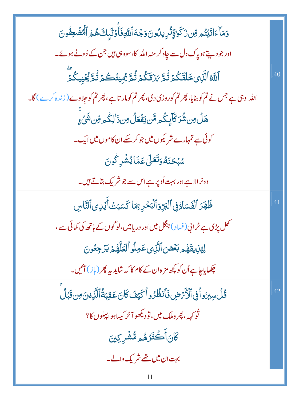| وَمَآءَاتَيۡتُو مِّن زَكَوٰقِنُّرِيلُونَوَجُهَ ٱللَّهِ فَأُوۡلَٰٓبِكَ هُمُ ٱلۡمُّفۡعِفُونَ              |     |
|---------------------------------------------------------------------------------------------------------|-----|
| اور جو دیتے ہو پاک دل سے جاہ کر منہ اللہ   کا، سووہی ہیں جن کے ڈونے ہوئے۔                               |     |
| ٱللَّهُٱلَّٰٓڶؚ؈ڟؘقَكُمۡ ثُمَّ ۥٓزتَكُمۡ ثُمَّ يُجِيتُكُمۡ ثُمَّ يُۡكِيكُمۡۖ                            | .40 |
| اللہ   وہی ہے جس نے تم کو بنایا، پھر تم کوروزی دی، پھر تم کومار تاہے، پھر تم کو جِلاوے ( زندہ کرے ) گا۔ |     |
| ۿڶٙ؈ؚۺ۠ڗڬۜٳٙۑٟػ۠ۄڡۜ۠ڹؾڡؘؙۛڡؘڵ؈ؚڹ؞ٚڶڮ۠ۄڡؚۜڹۺؘٛؽۦٟ                                                        |     |
| کوئی ہے تمہارے شریکوں میں جو کر سکے ان کاموں میں ایک۔                                                   |     |
| ۺڹػڹؘڡ۠ۏ <b>ؘؘٮؘ</b> ٙڂڵ؏ؘڡٙڐٵؽ۠ۺؙڔػٛۅڹ                                                                 |     |
| وہ نرالا ہے اور بہت اُوپر ہے اس سے جو شریک بتاتے ہیں۔                                                   |     |
| ظَهَرَ ٱلْفَسَادُفِىٱلْبَرِّ وَٱلْبَحْرِ بِمَا كَسَبَتْ أَيۡلِى ٱلتَّاسِ                                | .41 |
| کھل پڑی ہے خرانی(فساد)جنگل میں اور دریامیں،لو گوں کے ہاتھ کی کمائی سے،                                  |     |
| لِيُذِيقَهُمِ بَعۡضَ ٱلَّذِىعَمِلُواۡكَلَّهُمۡ يَرۡجِعُونَ                                              |     |
| چکھایاجاہے اُن کو کچھ مز ہ ان کے کام کا کہ شاید <i>پہ پھر (باز</i> ) آئیں۔                              |     |
| <u>ػ۠ڶٙڛڹۯۅٱڣۣٱڷٲؘ</u> ڗٙۻ؋ؘٲٮ۫ڟؙۯۄٱػؽڡؘػؘؘۜۛانؘعؘقبَةٛٲڷؘڵؘڹؾؘڝڠؘڹڵۘ                                   | .42 |
| تُو <sub>کهه</sub> ه، پھر وملک میں، تودیکھو آخر کیپیاہو اپہلوں کا؟                                      |     |
| ػڶڹٲؘٛۘ۠۠ػ <del>ؘڎؘ</del> ڒۿۄڡ۠ۺؙڔڮڹ                                                                    |     |
| بہت ان میں تھے شریک دالے۔                                                                               |     |
| 11                                                                                                      |     |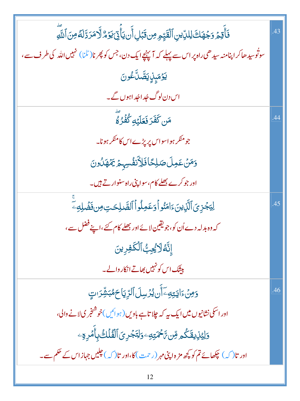| فَأَقِمۡ وَجُهَكَ لِلدِّينِ ٱلۡقَيِّمِ مِن قَبۡلِ أَن يَأۡقِیۡكَ وُ الَّامَرَ دَّلَهُ مِنَ ٱللَّهِ             | .43 |
|----------------------------------------------------------------------------------------------------------------|-----|
| سوتُوسیدھاکر اپنامنہ سیدھی راہ پر اس سے پہلے کہ آپہنچے ایک دن، جس کو پھرنا(ٹلنا) نہیں اللہ کی طرف سے،          |     |
| <b>ێۯ</b> ٙڡؘؠؚٟڶٟڹڝۜؖڵؖٷڽ                                                                                     |     |
| اس دن لوگ جُداجُداہوں گے۔                                                                                      |     |
| مَن كَفَرَ فَعَلَيْهِ كُفُرُ لَهُ                                                                              | 44  |
| جومنکر ہواسواس پر پڑے اس کامنکر ہونا۔                                                                          |     |
| <u>و</u> َمَنْ عَمِلَ صَلِحًا فَلِأَنفُسِهِمْ يَمُهَدُونَ                                                      |     |
| اور جو کرے <u>بھلے</u> کام،سوا پنی راہ سنوار تے ہیں۔                                                           |     |
| لِيَجۡزِىَٱلَّٰٓزِينَءَامَنُواۡ وَعَمِلُواۡٱلصَّلِحَتِ مِن فَضَٰلِهِۦ                                          | .45 |
| کہ وہ بدلہ دے اُن کو، جو یقین لائے اور بھلے کام کئے،اپنے فضل سے،                                               |     |
| ٳڹَّۀلاؽؙڿؚڢ۠ٱڶػڣڔؚؠڹ                                                                                          |     |
| بی <u>ش</u> ک اس کو نہیں بھاتے انکار والے۔                                                                     |     |
| <u>وَمِنۡ</u> ۦٙٳؾؾؚ <i>ڢ</i> ۦٓٲؘؙڹؽؙۯڛڶٲڵڗؚؾؚٳڂۿڹۺٚۯٮؾٟ                                                      | .46 |
| اور اسکی نشانیوں میں ایک یہ کہ جلا تاہے باویں (ہوائیں)خوشنجر کی لانے والی،                                     |     |
| وَلِيْزِيقَكُمِ مِّن تَحْمَتِهِ وَلِتَجْرِىَ ٱلْفُلَكُ بِأَمُرِهِ ۖ                                            |     |
| اور تا $\mathcal{L}$ ) چکھائے تم کو کچھ مز ہ اپنی مہر (رحمت) کا،اور تا $\mathcal{L}$ ) چلیں جہاز اس کے حکم ہے۔ |     |
|                                                                                                                |     |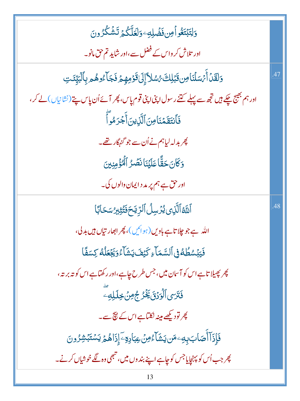| وَلِتَبۡتَغُواۡمِن فَضۡلِهِۦوَلَعَلَّكُمۡ تَشۡكُرُونَ                                                             |     |
|-------------------------------------------------------------------------------------------------------------------|-----|
| اور تلاش کر واس کے فضل سے،اور شاید تم حق مانو۔                                                                    |     |
| وَلَقَلۡ أَيۡسَلۡنَاۚ مِن قَبَٰلِكَ رُسُلاًۚ إِلَىٰ قَوۡمِهِمۡ فَجَآءُوهُم بِٱلۡبَيِّنَتِ                         | .47 |
| اور ہم بھیج چکے ہیں ت <mark>ج</mark> ھ سے پہلے کتنے رسول اپنی اپنی قوم پاس، پھر آئے اُن پاس پتے (نشانیاں) لے کر ، |     |
| فَأَنتَقَمۡنَامِنَ ٱلَّٰزِينَ أَجۡرَمُوآ                                                                          |     |
| پھر بدلہ لیاہم نے اُن سے جو گنہگار تھے۔                                                                           |     |
| وَكَانَ حَقًّا عَلَيْنَا نَصِّرُ ٱلْمُؤْمِنِينَ                                                                   |     |
| اور حق ہے ہم پر مد د ایمان والوں کی۔                                                                              |     |
| ٱللَّهُٱلَّٰٓڶِى يُزَسِلُ ٱلرِّيَحَفَّتُثِيرُ سَحَابًا                                                            | .48 |
| اللہ ہے جو چلا تاہے باویں (ہوائیں )، پھر ابھار تیاں ہیں بدلی،                                                     |     |
| فَيَبۡسُطُهُ فِى ٱلسَّمَآءِ كَيۡفَ يَشَآءُوَيَجۡعَلۡهُۚ كِسَفَّا                                                  |     |
| پھر پھیلا تاہےاس کو آسان میں، جس طرح چاہے،اور رکھتاہےاس کو تہ برتہ،                                               |     |
| فَتَرَى ٱلْوَرُقَ يَخْرُجُ مِنْ خِلَلِهِ                                                                          |     |
| پھر تودی <u>کھ</u> ے مینہ نکتاہے اس کے ن <del>ی</del> ج سے۔                                                       |     |
| ڣؘٳؚؚۮؘۜٳٚٲۢڝؘٲڹڔؚڮٷۺؾۺؘٵ <i>۠ۦ۠ڡؚڽ۫</i> عؚۼٲ۪ڔ <i>ؚۊ</i> ۦؔٳؚۣۮؘٳۿ۠ <sub>ڞ</sub> ٙؾۺۺڒۄڽ                         |     |
| پھر جب اُس کو پہنچایاجس کو چاہے اپنے بند وں <b>م</b> یں ، تبھی وہ لگے خوشیاں کرنے۔                                |     |
| 13                                                                                                                |     |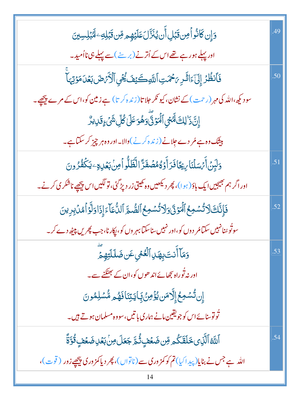| <u>وَإِن</u> كَانُو أَمِن قَبَلِ أَن يُنَزَّلَ عَلَيْهِم مِّن قَبَلِهِ ۖ لَهُبَلِسِينَ                    | .49 |
|-----------------------------------------------------------------------------------------------------------|-----|
| اور پہلے ہورہے تھے اس کے اُترنے (برسنے )سے پہلے ہی نااُمید۔                                               |     |
| فَأَنظُرُ إِلَىٰٓءَاثَشِ يَحْمَتِ ٱللَّهِكَيْفَ يُحْيِ ٱلْأَيَّ ضَ بَعُدَ مَوْتِهَاْ                      | .50 |
| سود کیھ،اللّٰہ کی مہر (رحمت )کے نشان، کیو نکر حلا تا(زندہ کر تا) ہے زمین کو،اس کے مرے پیچھے۔              |     |
| إِنَّ ذَٰ لِكَ لَهُجْيِ ٱلۡمَوۡنَّىٰ وَهُوَ عَلَىٰ كُلِّ شَیۡ ۚ وَقَدِیدُّ                                |     |
| بیشک وہ ہے مُر دے جِلانے (زندہ کرنے)والا۔اور وہ ہر چیز کر سکتاہے۔                                         |     |
| <u>و</u> َلَيِنَ أَيُّسَلُنَا بِيُجَافَرَ أَوَةُهُصُفَرَّ الْظَلُّو أَمِنْ بَعُلِهِ ۖ يَكُفُرُونَ         | .51 |
| اور اگر ہم جیجیں ایک باؤ (ہوا)، پھر دیکھیں وہ کھیتی زر دپڑ گئی، تو لگیں اس پیچھپے ناشکر کی کرنے۔          |     |
| فَإِنَّكَ لَا تُسْمِعُ ٱلۡمَوۡنَ وَلَا تُسۡمِعُ ٱلصُّوَّ ٱللَّّمَآءَ إِذَا وَلَّوۡ أَمُّنۡ بِرِينَ        | .52 |
| سوتُو <sub>شنا</sub> نہیں سکتامُر دوں کو،اور نہیں سناسکتابہر وں کو، اپکار نا،جب پھریں پی <u>ٹھ</u> دے کر۔ |     |
| وَمَآ أَنتَ بِهَلِ ٱلۡعُمۡىِعَن ضَلَلَّتِهِمَّ                                                            | .53 |
| اور نہ ٹُوراہ بچھائے اند ھوں کو،ان کے بھٹکنے سے۔                                                          |     |
| ٳؚڹڐ۠ۺڡؚڂٳٳڷۜٳڡؘڹؽۏٟۛۢٶؚڹۘ۠؋ٟٵؾڗؚڹؘٲڡؘۿۄۺ۠ۺڸڡٛۅڹ                                                          |     |
| تُونوسنائے اس کو جویقین مانے ہماری با تیں، سووہ مسلمان ہوتے ہیں۔                                          |     |
| ٱللَّهُٱلَّٰٓلِى خَلَقَكُم مِّن ضَعۡفٍ ثُمَّ جَعَلَ مِنۡ بَعۡلِ ضَعۡفٍ قُوَّةً                            | .54 |
| اللہ ہے جس نے بنایا(پیداکیا)تم کو کمز وری سے (ناتواں)، پھر دیاکمز وری پیچھے زور ( قوت)،                   |     |
|                                                                                                           |     |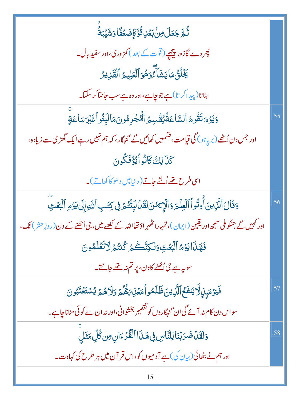| ٞ<br>ڐؙٛۿ <i>ۜ</i> ۥڿؘۘۼؘڶ؈ؚڹۢڹ <i>ۼ</i> ۫ڸڟ۠ۘۊؚٞۊٟٚڞؘۼۘڡؘ۠ٲۏۺؘؽٙڹڐؘؖ                                              |     |
|--------------------------------------------------------------------------------------------------------------------|-----|
| چر دے گازور پی <u>جھ</u> ے ( قوت کے بعد ) کمز ور کی،اور سفید بال۔                                                  |     |
| يَخۡلُنُّ مَايَشَآءٌوَهُوَ ٱلۡعَلِيمُ ٱلۡقَٰٓدِيرُ                                                                 |     |
| بناتا(پیداکر تا)ہے جو چاہے،اور وہ ہے سب جانتاکر سکتا۔                                                              |     |
| وَيَوْمَ تَقُومُ ٱلسَّاعَةُيُقْسِمُ ٱلْهُجْرِهُونَ مَالَبِثُواْغَيْرَسَاعَةٍ                                       | .55 |
| اور جس دن اُٹھے (بر پاہو ) گی قیامت، فشمیں کھائیں گے گنہگار، کہ ہم نہیں رہے ایک گھڑی سے زیادہ،                     |     |
| كَنَا لِكَ كَانُواْ يُؤْفَكُونَ                                                                                    |     |
| اسی طرح تھے اُلٹے جاتے ( دنیامیں دھو کا کھاتے)۔                                                                    |     |
| وَقَالَ ٱلَّذِينَ أُوتُواْ ٱلۡفِلۡمَ وَٱلۡإِيَّمَنَ لَقَدۡلَٰٓلِنَّتُمۡ فِى كِتَبِ ٱللَّهِ إِلَىٰ يَوۡمِ ٱلۡبَعۡثِ | .56 |
| اور کہیں گے جنکوملی سمجھ اور یقین (ایمان)، تمہارا کھُہر اؤ تھااللہ کے لکھے میں، جی اُٹھنے کے دن (روزِ حش) تک،      |     |
| فَهَذَا يَؤْمُ ٱلۡبَعۡثِ وَلَكِنَّكُمۡ كُنتُمۡ لَاتَّعَٰلَمُونَ                                                    |     |
| سوریہ ہے،گی اُٹھنے کادن، پر تم نہ تھے جانتے۔                                                                       |     |
| فَيَوۡمَبِنِٱلۡایَنفَـُۚ ٱلَّٰٓزِینَڟَلَمُواۡمَعۡنِہَۿُّمۡۚ وَلَاهُمۡ یُسۡتَعۡنَبُونَ                              | .57 |
| سواس دن کام نہ آئے گی ان گنہگاروں کو تقصیر بخشوانی،اور نہ ان سے کوئی مناناچاہے۔                                    |     |
| وَلَقَلْ ضَرَبْنَا لِلنَّاسِ فِى هَذَا ٱلْقُرْءَانِ مِن كُلِّ مَثَلٍ                                               | .58 |
| اور ہم نے بٹھائی (بیان کی) ہے آدمیوں کو،اس قر آن میں ہر طرح کی کہاوت۔                                              |     |
| 15                                                                                                                 |     |